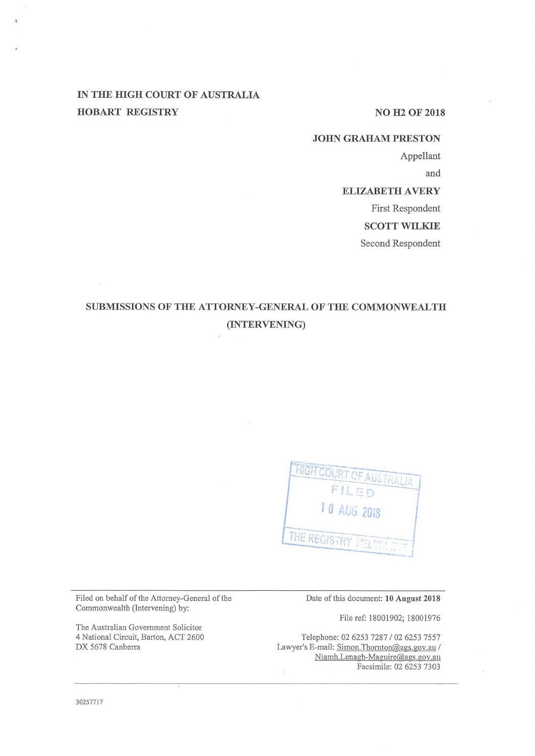# **IN THE IDGH COURT OF AUSTRALIA HOBART REGISTRY** NO H2 OF 2018

#### **JOHN GRAHAM PRESTON**

Appellant

and

# **ELIZABETH A VERY**

First Respondent

**SCOTT WILKIE** 

Second Respondent

# **SUBMISSIONS OF THE ATTORNEY-GENERAL OF THE COMMONWEALTH (INTERVENING)**



Filed on behalf of the Attorney-General of the Commonwealth (Intervening) by:

The Australian Government Solicitor 4 National Circuit, Barton, ACT 2600 DX 5678 Canberra

Date of this document: **10 August 2018** 

File ref: 18001902; 18001976

Telephone: 02 6253 7287 / 02 6253 7557 Lawyer's E-mail: Simon.Thornton@ags.gov.au / Niamh.Lenagh-Maguire@ags.gov.au Facsimile: 02 6253 7303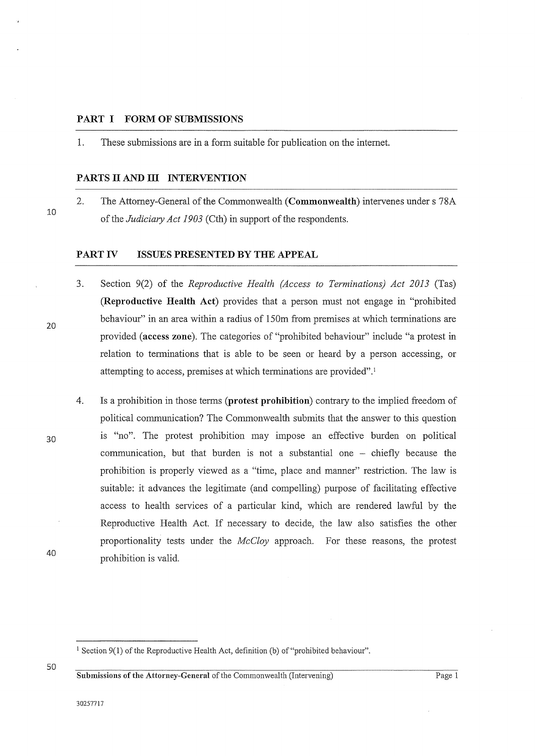#### **PART I FORM OF SUBMISSIONS**

1. These submissions are in a form suitable for publication on the internet.

#### **PARTS II AND Ill INTERVENTION**

2. The Attorney-General of the Commonwealth **(Commonwealth)** intervenes under s 78A of the *Judiciary Act 1903* (Cth) in support of the respondents.

### **PART IV ISSUES PRESENTED BY THE APPEAL**

- 3. Section 9(2) of the *Reproductive Health (Access to Terminations) Act 2013* (Tas) **(Reproductive Health Act)** provides that a person must not engage in "prohibited behaviour" in an area within a radius of 150m from premises at which terminations are provided **(access zone).** The categories of "prohibited behaviour" include "a protest in relation to terminations that is able to be seen or heard by a person accessing, or attempting to access, premises at which terminations are provided". 1
- 4. Is a prohibition in those terms **(protest prohibition)** contrary to the implied freedom of political communication? The Commonwealth submits that the answer to this question is "no". The protest prohibition may impose an effective burden on political communication, but that burden is not a substantial one  $-$  chiefly because the prohibition is properly viewed as a "time, place and manner" restriction. The law is suitable: it advances the legitimate (and compelling) purpose of facilitating effective access to health services of a particular kind, which are rendered lawful by the Reproductive Health Act. If necessary to decide, the law also satisfies the other proportionality tests under the *McCloy* approach. For these reasons, the protest prohibition is valid.

**Submissions of the Attorney-General of the Commonwealth (Intervening)** Page 1

20

10

30

40

 $1$  Section 9(1) of the Reproductive Health Act, definition (b) of "prohibited behaviour".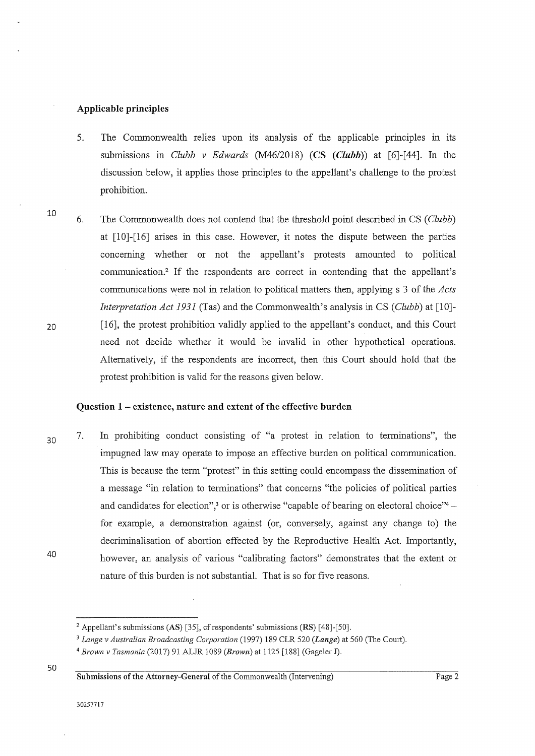#### Applicable principles

- 5. The Commonwealth relies upon its analysis of the applicable principles in its submissions in *Clubb v Edwards* (M46/2018) (CS *(Clubb))* at [6]-[44]. In the discussion below, it applies those principles to the appellant's challenge to the protest prohibition.
- 6. The Commonwealth does not contend that the threshold point described in CS ( *Clubb)*  at [10]-[16] arises in this case. However, it notes the dispute between the parties concernmg whether or not the appellant's protests amounted to political communication.2 If the respondents are correct in contending that the appellant's communications were not in relation to political matters then, applying s 3 of the *Acts Interpretation Act 1931* (Tas) and the Commonwealth's analysis in CS *(Clubb)* at [10]- [16], the protest prohibition validly applied to the appellant's conduct, and this Court need not decide whether it would be invalid in other hypothetical operations. Alternatively, if the respondents are incorrect, then this Court should hold that the protest prohibition is valid for the reasons given below.

#### Question 1 - existence, nature and extent of the effective burden

30 40 7. In prohibiting conduct consisting of "a protest in relation to terminations", the impugned law may operate to impose an effective burden on political communication. This is because the term "protest" in this setting could encompass the dissemination of a message "in relation to terminations" that concerns "the policies of political parties and candidates for election",<sup>3</sup> or is otherwise "capable of bearing on electoral choice"<sup>4</sup> – for example, a demonstration against (or, conversely, against any change to) the decriminalisation of abortion effected by the Reproductive Health Act. Importantly, however, an analysis of various "calibrating factors" demonstrates that the extent or nature of this burden is not substantial. That is so for five reasons.

50

10

20

<sup>&</sup>lt;sup>2</sup> Appellant's submissions (AS) [35], cf respondents' submissions (RS) [48]-[50].

<sup>3</sup>*Lange v Australian Broadcasting Corporation* (1997) 189 CLR 520 *(Lange)* at 560 (The Court).

<sup>4</sup>*Brown v Tasmania* (2017) 91 ALJR 1089 *(Brown)* at 1125 [188] (Gageler J).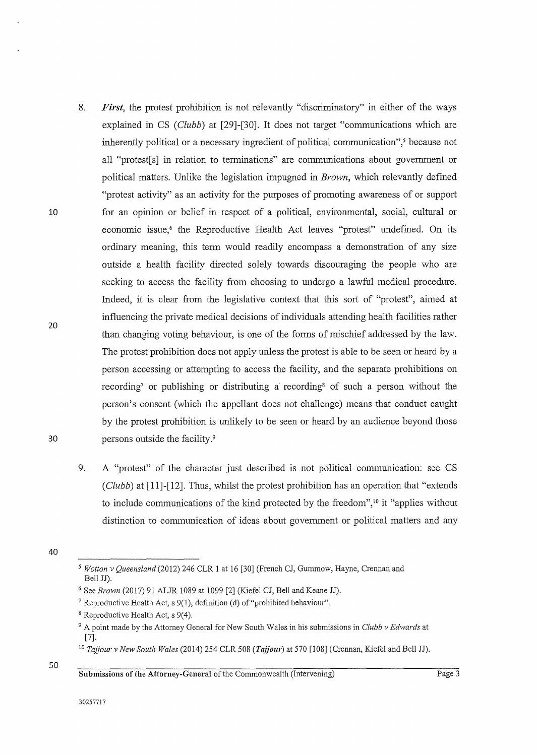- 8. *First,* the protest prohibition is not relevantly "discriminatory" in either of the ways explained in CS *(Clubb)* at [29]-[30]. It does not target "communications which are inherently political or a necessary ingredient of political communication", $\delta$  because not all "protest[s] in relation to terminations" are communications about government or political matters. Unlike the legislation impugned in *Brown,* which relevantly defined "protest activity" as an activity for the purposes of promoting awareness of or support for an opinion or belief in respect of a political, environmental, social, cultural or economic issue,<sup>6</sup> the Reproductive Health Act leaves "protest" undefined. On its ordinary meaning, this term would readily encompass a demonstration of any size outside a health facility directed solely towards discouraging the people who are seeking to access the facility from choosing to undergo a lawful medical procedure. Indeed, it is clear from the legislative context that this sort of "protest", aimed at influencing the private medical decisions of individuals attending health facilities rather than changing voting behaviour, is one of the forms of mischief addressed by the law. The protest prohibition does not apply unless the protest is able to be seen or heard by a person accessing or attempting to access the facility, and the separate prohibitions on recording<sup>7</sup> or publishing or distributing a recording<sup>8</sup> of such a person without the person's consent (which the appellant does not challenge) means that conduct caught by the protest prohibition is unlikely to be seen or heard by an audience beyond those persons outside the facility. <sup>9</sup>
	- 9. A "protest" of the character just described is not political communication: see CS (*Clubb*) at [11]-[12]. Thus, whilst the protest prohibition has an operation that "extends" to include communications of the kind protected by the freedom", $\frac{10}{10}$  it "applies without distinction to communication of ideas about government or political matters and any
- 40

10

20

<sup>5</sup>*Wotton v Queensland* (2012) 246 CLR 1 at 16 [30] (French CJ, Gummow, Hayne, Crennan and Bell JJ).

<sup>6</sup> See *Brown* (2017) 91 ALJR 1089 at 1099 [2] (Kiefel CJ, Bell and Keane JJ).

<sup>&</sup>lt;sup>7</sup> Reproductive Health Act, s  $9(1)$ , definition (d) of "prohibited behaviour".

<sup>8</sup> Reproductive Health Act, s 9(4).

<sup>9</sup> A point made by the Attorney General for New South Wales in his submissions in *Clubb v Edwards* at [7].

<sup>10</sup>*Tajjour v New South Wales* (2014) 254 CLR 508 *(Tajjour)* at 570 [108] (Crennan, Kiefel and Bell JJ).

<sup>50</sup>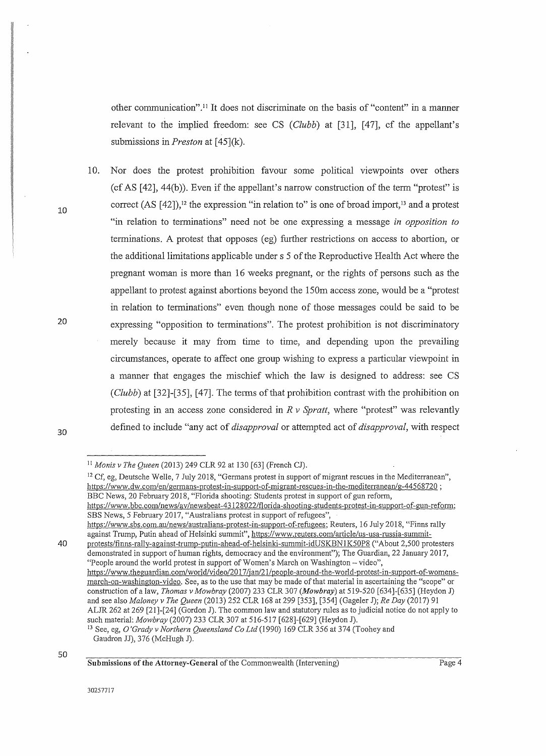other communication".<sup>11</sup> It does not discriminate on the basis of "content" in a manner relevant to the implied freedom: see CS *(Clubb)* at (31], [47], cf the appellant's submissions in *Preston* at [45](k).

10. Nor does the protest prohibition favour some political viewpoints over others (cf AS  $[42]$ ,  $44(b)$ ). Even if the appellant's narrow construction of the term "protest" is correct  $(AS [42])$ ,<sup>12</sup> the expression "in relation to" is one of broad import,<sup>13</sup> and a protest "in relation to terminations" need not be one expressing a message *in opposition to*  terminations. A protest that opposes (eg) further restrictions on access to abortion, or the additional limitations applicable under s 5 of the Reproductive Health Act where the pregnant woman is more than 16 weeks pregnant, or the rights of persons such as the appellant to protest against abortions beyond the 150m access zone, would be a "protest in relation to terminations" even though none of those messages could be said to be expressing "opposition to terminations". The protest prohibition is not discriminatory merely because it may from time to time, and depending upon the prevailing circumstances, operate to affect one group wishing to express a particular viewpoint in a manner that engages the mischief which the law is designed to address: see CS ( *Clubb)* at [32]-(35], [ 47]. The terms of that prohibition contrast with the prohibition on protesting in an access zone considered in *R v Spratt,* where "protest" was relevantly defined to include "any act of *disapproval* or attempted act of *disapproval,* with respect

10

20

<sup>11</sup>*Monis v The Queen* (2013) 249 CLR 92 at 130 (63] (French CJ).

<sup>&</sup>lt;sup>12</sup> Cf, eg, Deutsche Welle, 7 July 2018, "Germans protest in support of migrant rescues in the Mediterranean", https://www.dw.com/en/germans-protest-in-support-of-migrant-rescues-in-the-mediterranean/g-44568720; BBC News, 20 February 2018, "Florida shooting: Students protest in support of gun reform,

https:/ /www. bbc.com/news/av /newsbeat-4 3128022/fl orida-shooting-students-protest-in-support-of-gun-reform; SBS News, 5 February 2017, "Australians protest in support of refugees",

<sup>&</sup>lt;u>https://www.sbs.com.au/news/australians-protest-in-support-of-refugees;</u> Reuters, 16 July 2018, "Finns rally against Trump, Putin ahead of Helsinki summit", https://www.reuters.com/article/us-usa-russia-summit-

<sup>40</sup> protests/finns-rally-against-trump-putin-ahead-of-helsinki-summit-idUSKBN1K50P8 ("About 2,500 protesters demonstrated in support of human rights, democracy and the environment"); The Guardian, 22 January 2017, "People around the world protest in support of Women's March on Washington - video",

https://www.theguardian.com/world/video/2017/jan/21/people-around-the-world-protest-in-support-of-womensmarch-on-washington-video. See, as to the use that may be made of that material in ascertaining the "scope" or construction of a law, *Thomas v Mowbray* (2007) 233 CLR 307 *(Mowbray)* at 519-520 [634]-[635] (Heydon J) and see also *Maloney v The Queen* (2013) 252 CLR 168 at 299 [353], [354] (Gageler J); *Re Day* (2017) 91 ALJR 262 at 269 (21]-[24] (Gordon J). The common law and statutory rules as to judicial notice do not apply to such material: *Mowbray* (2007) 233 CLR 307 at 516-517 [628]-[629] (Heydon J).<br><sup>13</sup> See, eg, *O'Grady v Northern Queensland Co Ltd* (1990) 169 CLR 356 at 374 (Toohey and

Gaudron JJ), 376 (McHugh J).

Submissions of the Attorney-General of the Commonwealth (Intervening)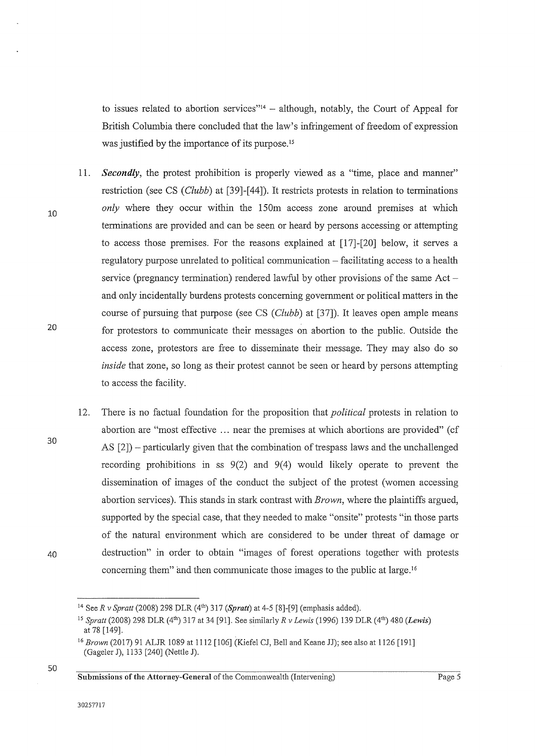to issues related to abortion services"<sup>14</sup> – although, notably, the Court of Appeal for British Columbia there concluded that the law's infringement of freedom of expression was justified by the importance of its purpose.<sup>15</sup>

11. *Secondly,* the protest prohibition is properly viewed as a "time, place and manner"

10

20

30

- restriction (see CS (*Clubb*) at [39]-[44]). It restricts protests in relation to terminations *only* where they occur within the 150m access zone around premises at which terminations are provided and can be seen or heard by persons accessing or attempting to access those premises. For the reasons explained at [17]-[20] below, it serves a regulatory purpose unrelated to political communication - facilitating access to a health service (pregnancy termination) rendered lawful by other provisions of the same  $Act$ and only incidentally burdens protests concerning government or political matters in the course of pursuing that purpose (see CS (*Clubb*) at [37]). It leaves open ample means for protestors to communicate their messages on abortion to the public. Outside the access zone, protestors are free to disseminate their message. They may also do so *inside* that zone, so long as their protest cannot be seen or heard by persons attempting to access the facility.
- 12. There is no factual foundation for the proposition that *political* protests in relation to abortion are "most effective ... near the premises at which abortions are provided" ( cf AS  $[2]$ ) – particularly given that the combination of trespass laws and the unchallenged recording prohibitions in ss  $9(2)$  and  $9(4)$  would likely operate to prevent the dissemination of images of the conduct the subject of the protest (women accessing abortion services). This stands in stark contrast with *Brown,* where the plaintiffs argued, supported by the special case, that they needed to make "onsite" protests "in those parts of the natural environment which are considered to be under threat of damage or destruction" in order to obtain "images of forest operations together with protests concerning them" and then communicate those images to the public at large. <sup>16</sup>
- 40

50

<sup>&</sup>lt;sup>14</sup> See R v Spratt (2008) 298 DLR (4<sup>th</sup>) 317 (Spratt) at 4-5 [8]-[9] (emphasis added).

<sup>15</sup>*Spratt* (2008) 298 DLR (4th) 317 at 34 [91]. See similarly *R v Lewis* (1996) 139 DLR (4th) 480 *(Lewis)*  at 78 [149].

<sup>&</sup>lt;sup>16</sup> Brown (2017) 91 ALJR 1089 at 1112 [106] (Kiefel CJ, Bell and Keane JJ); see also at 1126 [191] (Gageler J), 1133 [240] (Nettle J).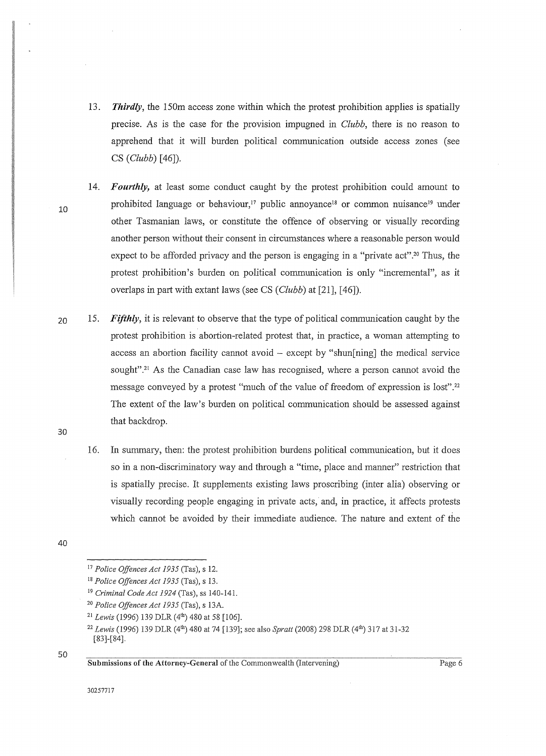- 13. *Thirdly,* the 150m access zone within which the protest prohibition applies is spatially precise. As is the case for the provision impugned in *Clubb,* there is no reason to apprehend that it will burden political communication outside access zones (see CS ( *Clubb)* [ 46]).
- 14. *Fourthly,* at least some conduct caught by the protest prohibition could amount to prohibited language or behaviour,<sup>17</sup> public annoyance<sup>18</sup> or common nuisance<sup>19</sup> under other Tasmanian laws, or constitute the offence of observing or visually recording another person without their consent in circumstances where a reasonable person would expect to be afforded privacy and the person is engaging in a "private act".<sup>20</sup> Thus, the protest prohibition's burden on political communication is only "incremental", as it overlaps in part with extant laws (see CS *(Clubb)* at [21], [46]).
- 20 15. *Fifthly,* it is relevant to observe that the type of political communication caught by the protest prohibition is abortion-related protest that, in practice, a woman attempting to access an abortion facility cannot avoid- except by "shun[ning] the medical service sought".<sup>21</sup> As the Canadian case law has recognised, where a person cannot avoid the message conveyed by a protest "much of the value of freedom of expression is lost".22 The extent of the law's burden on political communication should be assessed against that backdrop.
	- 16. In summary, then: the protest prohibition burdens political communication, but it does so in a non-discriminatory way and through a "time, place and manner" restriction that is spatially precise. It supplements existing laws proscribing (inter alia) observing or visually recording people engaging in private acts, and, in practice, it affects protests which cannot be avoided by their immediate audience. The nature and extent of the

40

30

10

50

<sup>17</sup>*Police Offences Act 1935* (Tas), s 12.

<sup>18</sup>*Police Offences Act 1935* (Tas), s 13.

<sup>19</sup>*Criminal Code Act 1924* (Tas), ss 140-141.

<sup>20</sup>*Police Offences Act 1935* (Tas), s 13A.

<sup>&</sup>lt;sup>21</sup> Lewis (1996) 139 DLR (4<sup>th</sup>) 480 at 58 [106].

<sup>22</sup>*Lewis* (1996) 139 DLR (4th) 480 at 74 [139]; see also *Spratt* (2008) 298 DLR (4th) 317 at 31-32 [83]-[84}.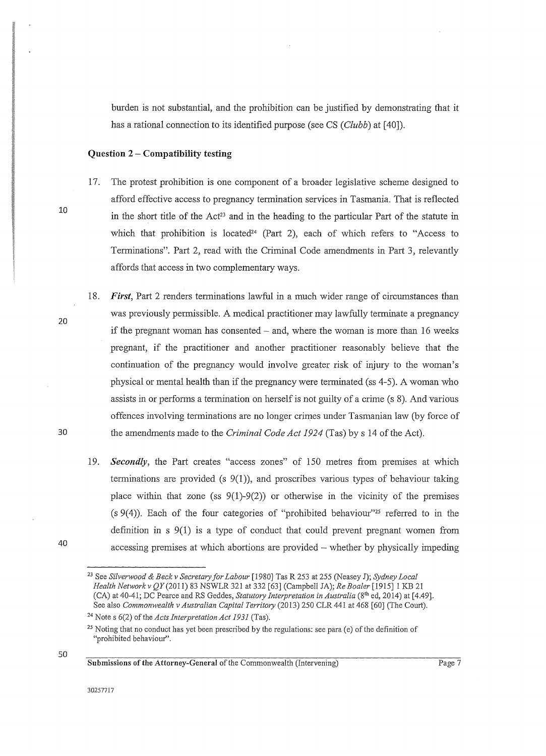burden is not substantial, and the prohibition can be justified by demonstrating that it has a rational connection to its identified purpose (see CS *(Clubb)* at [40]).

#### **Question 2- Compatibility testing**

- 17. The protest prohibition is one component of a broader legislative scheme designed to afford effective access to pregnancy termination services in Tasmania. That is reflected in the short title of the Act<sup>23</sup> and in the heading to the particular Part of the statute in which that prohibition is located<sup>24</sup> (Part 2), each of which refers to "Access to Terminations". Part 2, read with the Criminal Code amendments in Part 3, relevantly affords that access in two complementary ways.
- 18. *First,* Part 2 renders terminations lawful in a much wider range of circumstances than was previously permissible. A medical practitioner may lawfully terminate a pregnancy if the pregnant woman has consented  $-$  and, where the woman is more than 16 weeks pregnant, if the practitioner and another practitioner reasonably believe that the continuation of the pregnancy would involve greater risk of injury to the woman's physical or mental health than if the pregnancy were terminated (ss 4-5). A woman who assists in or performs a termination on herself is not guilty of a crime (s 8). And various offences involving terminations are no longer crimes under Tasmanian law (by force of 30 the amendments made to the *Criminal Code Act 1924* (Tas) by s 14 of the Act).
	- 19. *Secondly,* the Part creates "access zones" of 150 metres from premises at which terminations are provided (s  $9(1)$ ), and proscribes various types of behaviour taking place within that zone (ss  $9(1)-9(2)$ ) or otherwise in the vicinity of the premises  $(s \ 9(4))$ . Each of the four categories of "prohibited behaviour"<sup>25</sup> referred to in the definition in s 9(1) is a type of conduct that could prevent pregnant women from accessing premises at which abortions are provided – whether by physically impeding

40

10

20

<sup>23</sup> See *Silverwood* & *Beck v Secretary for Labour* [1980] Tas R 253 at 255 (Neasey J); *Sydney Local Health Networkv QY(20ll)* 83 NSWLR 321 at 332 [63] (Campbell JA); *Re Boaler* [1915] 1 KB 21 (CA) at 40-41; DC Pearce and RS Geddes, *Statutory Interpretation in Australia* (8th ed, 2014) at [4.49]. See also *Commonwealth v Australian Capital Territmy* (2013) 250 CLR 441 at 468 [60] (The Court). <sup>24</sup> Note s 6(2) of the *Acts Interpretation Act 1931* (Tas).

<sup>&</sup>lt;sup>25</sup> Noting that no conduct has yet been prescribed by the regulations: see para (e) of the definition of "prohibited behaviour".

Submissions of the Attorney-General of the Commonwealth (Intervening)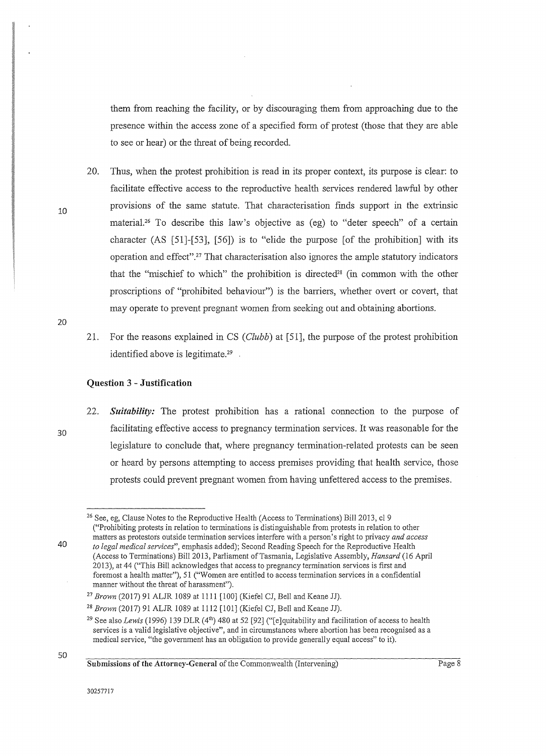them from reaching the facility, or by discouraging them from approaching due to the presence within the access zone of a specified form of protest (those that they are able to see or hear) or the threat of being recorded.

- 20. Thus, when the protest prohibition is read in its proper context, its purpose is clear: to facilitate effective access to the reproductive health services rendered lawful by other provisions of the same statute. That characterisation fmds support in the extrinsic material.<sup>26</sup> To describe this law's objective as  $(eg)$  to "deter speech" of a certain character (AS [51]-[53], [56]) is to "elide the purpose [of the prohibition] with its operation and effect''.27 That characterisation also ignores the ample statutory indicators that the "mischief to which" the prohibition is directed<sup>28</sup> (in common with the other proscriptions of "prohibited behaviour") is the barriers, whether overt or covert, that may operate to prevent pregnant women from seeking out and obtaining abortions.
- 20

30

40

10

21. For the reasons explained in CS *(Clubb)* at [51], the purpose of the protest prohibition identified above is legitimate.<sup>29</sup>

#### **Question 3- Justification**

22. *Suitability:* The protest prohibition has a rational connection to the purpose of facilitating effective access to pregnancy termination services. It was reasonable for the legislature to conclude that, where pregnancy termination-related protests can be seen or heard by persons attempting to access premises providing that health service, those protests could prevent pregnant women from having unfettered access to the premises.

<sup>&</sup>lt;sup>26</sup> See, eg, Clause Notes to the Reproductive Health (Access to Terminations) Bill 2013, cl 9 ("Prohibiting protests in relation to terminations is distinguishable from protests in relation to other matters as protestors outside termination services interfere with a person's right to privacy *and access to legal medical services",* emphasis added); Second Reading Speech for the Reproductive Health (Access to Terminations) Bill2013, Parliament ofTasmania, Legislative Assembly, *Hansard* (16 April 2013), at 44 ("This Bill acknowledges that access to pregnancy termination services is first and foremost a health matter"), 51 ("Women are entitled to access termination services in a confidential manner without the threat of harassment").

<sup>27</sup>*Brown* (2017) 91 ALJR 1089 at 1111 [100] (Kiefel CJ, Bell and Keane JJ).

<sup>28</sup>*Brown* (2017) 91 ALJR 1089 at 1112 [101] (Kiefel CJ, Bell and Keane JJ).

<sup>&</sup>lt;sup>29</sup> See also *Lewis* (1996) 139 DLR (4<sup>th</sup>) 480 at 52 [92] ("[e]quitability and facilitation of access to health services is a valid legislative objective", and in circumstances where abortion has been recognised as a medical service, "the government has an obligation to provide generally equal access" to it).

Submissions of the Attorney-General of the Commonwealth (Intervening)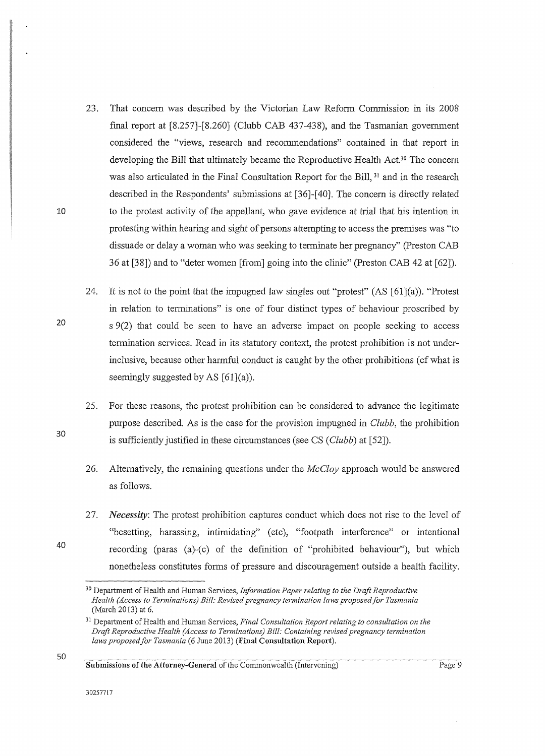- 23. That concern was described by the Victorian Law Reform Commission in its 2008 final report at [8.257]-[8.260] (Clubb CAB 437-438), and the Tasmanian government considered the "views, research and recommendations" contained in that report in developing the Bill that ultimately became the Reproductive Health Act.30 The concern was also articulated in the Final Consultation Report for the Bill, <sup>31</sup> and in the research described in the Respondents' submissions at [36]-[40]. The concern is directly related to the protest activity of the appellant, who gave evidence at trial that his intention in protesting within hearing and sight of persons attempting to access the premises was "to dissuade or delay a woman who was seeking to terminate her pregnancy" (Preston CAB 36 at [38]) and to "deter women [from] going into the clinic" (Preston CAB 42 at [62]).
- 24. It is not to the point that the impugned law singles out "protest"  $(AS [61](a))$ . "Protest" in relation to terminations" is one of four distinct types of behaviour proscribed by s 9(2) that could be seen to have an adverse impact on people seeking to access termination services. Read in its statutory context, the protest prohibition is not underinclusive, because other harmful conduct is caught by the other prohibitions (cf what is seemingly suggested by AS  $[61](a)$ ).
- 25. For these reasons, the protest prohibition can be considered to advance the legitimate purpose described. As is the case for the provision impugned in *Clubb,* the prohibition is sufficiently justified in these circumstances (see CS *(Clubb)* at [52]).
	- 26. Alternatively, the remaining questions under the *McCloy* approach would be answered as follows.
- 27. *Necessity:* The protest prohibition captures conduct which does not rise to the level of "besetting, harassing, intimidating" (etc), "footpath interference" or intentional recording (paras (a)-(c) of the definition of "prohibited behaviour"), but which nonetheless constitutes forms of pressure and discouragement outside a health facility.

Submissions of the Attorney-General of the Commonwealth (Intervening)

30

40

20

<sup>30</sup> Department of Health and Human Services, *Information Paper relating to the Draft Reproductive Health (Access to Terminations) Bill: Revised pregnancy termination laws proposed for Tasmania*  (March 2013) at 6.

<sup>31</sup> Department of Health and Human Services, *Final Consultation Report relating to consultation on the Draft Reproductive Health (Access to Terminations) Bill: Containing revised pregnancy termination laws proposed for Tasmania* (6 June 2013) (Final Consultation Report).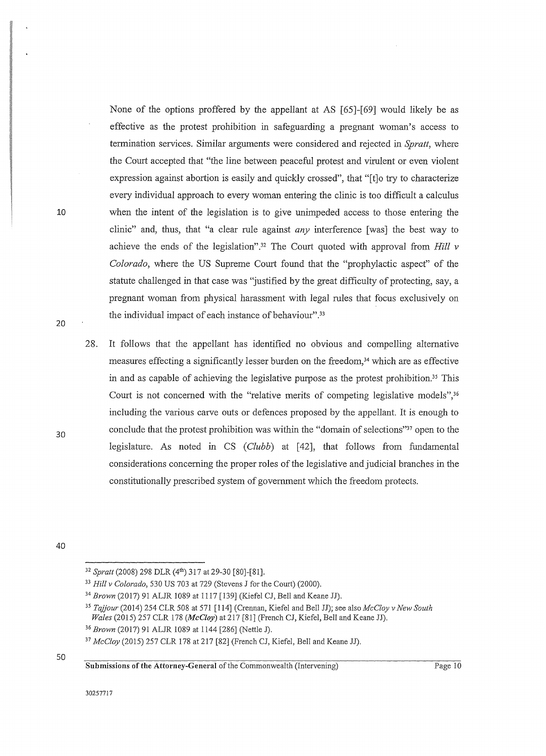None of the options proffered by the appellant at AS [65]-[69] would likely be as effective as the protest prohibition in safeguarding a pregnant woman's access to termination services. Similar arguments were considered and rejected in *Spratt,* where the Court accepted that "the line between peaceful protest and virulent or even violent expression against abortion is easily and quickly crossed", that "[t]o try to characterize every individual approach to every woman entering the clinic is too difficult a calculus when the intent of the legislation is to give unimpeded access to those entering the clinic" and, thus, that "a clear rule against *any* interference [was] the best way to achieve the ends of the legislation".32 The Court quoted with approval from Hill *v Colorado,* where the US Supreme Court found that the "prophylactic aspect" of the statute challenged in that case was "justified by the great difficulty of protecting, say, a pregnant woman from physical harassment with legal rules that focus exclusively on the individual impact of each instance of behaviour".<sup>33</sup>

28. It follows that the appellant has identified no obvious and compelling alternative measures effecting a significantly lesser burden on the freedom, 34 which are as effective in and as capable of achieving the legislative purpose as the protest prohibition.35 This Court is not concerned with the "relative merits of competing legislative models",<sup>36</sup> including the various carve outs or defences proposed by the appellant. It is enough to conclude that the protest prohibition was within the "domain of selections"37 open to the legislature. As noted in CS *(Clubb)* at [42], that follows from fundamental considerations concerning the proper roles of the legislative and judicial branches in the constitutionally prescribed system of government which the freedom protects.

40

10

20

30

<sup>&</sup>lt;sup>32</sup> Spratt (2008) 298 DLR (4<sup>th</sup>) 317 at 29-30 [80]-[81].

<sup>33</sup>*Hill v Colorado,* 530 US 703 at 729 (Stevens J for the Court) (2000).

<sup>&</sup>lt;sup>34</sup> Brown (2017) 91 ALJR 1089 at 1117 [139] (Kiefel CJ, Bell and Keane JJ).

<sup>35</sup>*Tajjour* (2014) 254 CLR 508 at 571 [114] (Crennan, Kiefel and Bell JJ); see also *McC!oy v New South Wales* (2015) 257 CLR 178 *(McCloy)* at 217 [81] (French CJ, Kiefel, Bell and Keane JJ).

<sup>36</sup>*Brown* (2017) 91 ALJR 1089 at 1144 [286] (Nettle J).

<sup>37</sup>*McCloy* (2015) 257 CLR 178 at 217 (82] (French CJ, Kiefel, Bell and Keane JJ).